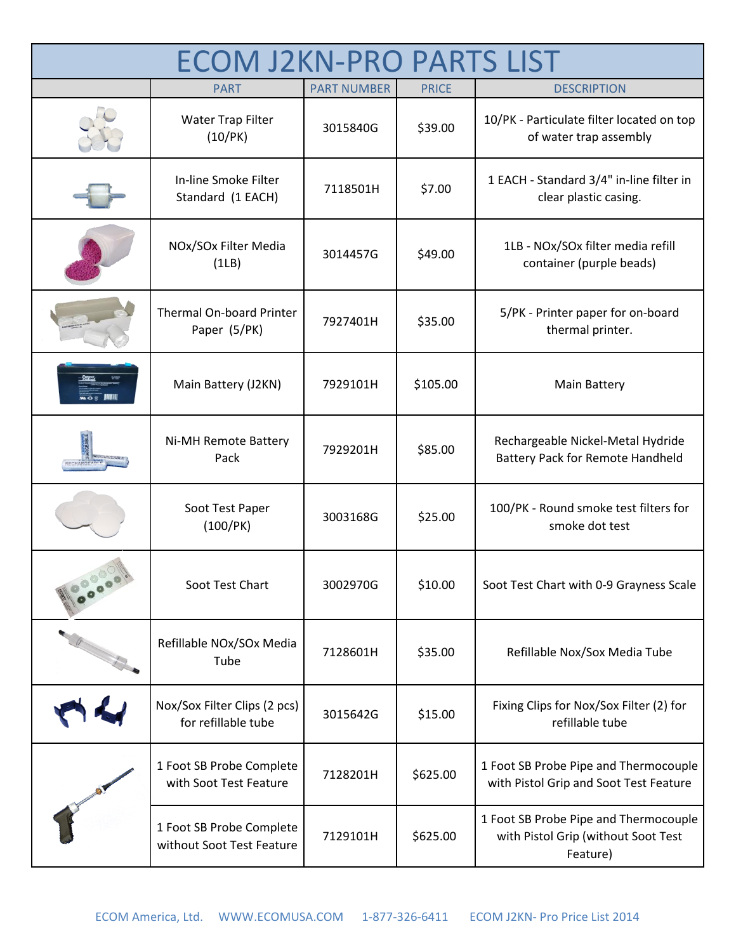| <b>ECOM J2KN-PRO PARTS LIST</b> |                                                       |                    |              |                                                                                          |  |
|---------------------------------|-------------------------------------------------------|--------------------|--------------|------------------------------------------------------------------------------------------|--|
|                                 | <b>PART</b>                                           | <b>PART NUMBER</b> | <b>PRICE</b> | <b>DESCRIPTION</b>                                                                       |  |
|                                 | Water Trap Filter<br>(10/PK)                          | 3015840G           | \$39.00      | 10/PK - Particulate filter located on top<br>of water trap assembly                      |  |
|                                 | In-line Smoke Filter<br>Standard (1 EACH)             | 7118501H           | \$7.00       | 1 EACH - Standard 3/4" in-line filter in<br>clear plastic casing.                        |  |
|                                 | NOx/SOx Filter Media<br>(1LB)                         | 3014457G           | \$49.00      | 1LB - NOx/SOx filter media refill<br>container (purple beads)                            |  |
|                                 | Thermal On-board Printer<br>Paper (5/PK)              | 7927401H           | \$35.00      | 5/PK - Printer paper for on-board<br>thermal printer.                                    |  |
|                                 | Main Battery (J2KN)                                   | 7929101H           | \$105.00     | <b>Main Battery</b>                                                                      |  |
|                                 | Ni-MH Remote Battery<br>Pack                          | 7929201H           | \$85.00      | Rechargeable Nickel-Metal Hydride<br><b>Battery Pack for Remote Handheld</b>             |  |
|                                 | Soot Test Paper<br>(100/PK)                           | 3003168G           | \$25.00      | 100/PK - Round smoke test filters for<br>smoke dot test                                  |  |
|                                 | Soot Test Chart                                       | 3002970G           | \$10.00      | Soot Test Chart with 0-9 Grayness Scale                                                  |  |
|                                 | Refillable NOx/SOx Media<br>Tube                      | 7128601H           | \$35.00      | Refillable Nox/Sox Media Tube                                                            |  |
|                                 | Nox/Sox Filter Clips (2 pcs)<br>for refillable tube   | 3015642G           | \$15.00      | Fixing Clips for Nox/Sox Filter (2) for<br>refillable tube                               |  |
|                                 | 1 Foot SB Probe Complete<br>with Soot Test Feature    | 7128201H           | \$625.00     | 1 Foot SB Probe Pipe and Thermocouple<br>with Pistol Grip and Soot Test Feature          |  |
|                                 | 1 Foot SB Probe Complete<br>without Soot Test Feature | 7129101H           | \$625.00     | 1 Foot SB Probe Pipe and Thermocouple<br>with Pistol Grip (without Soot Test<br>Feature) |  |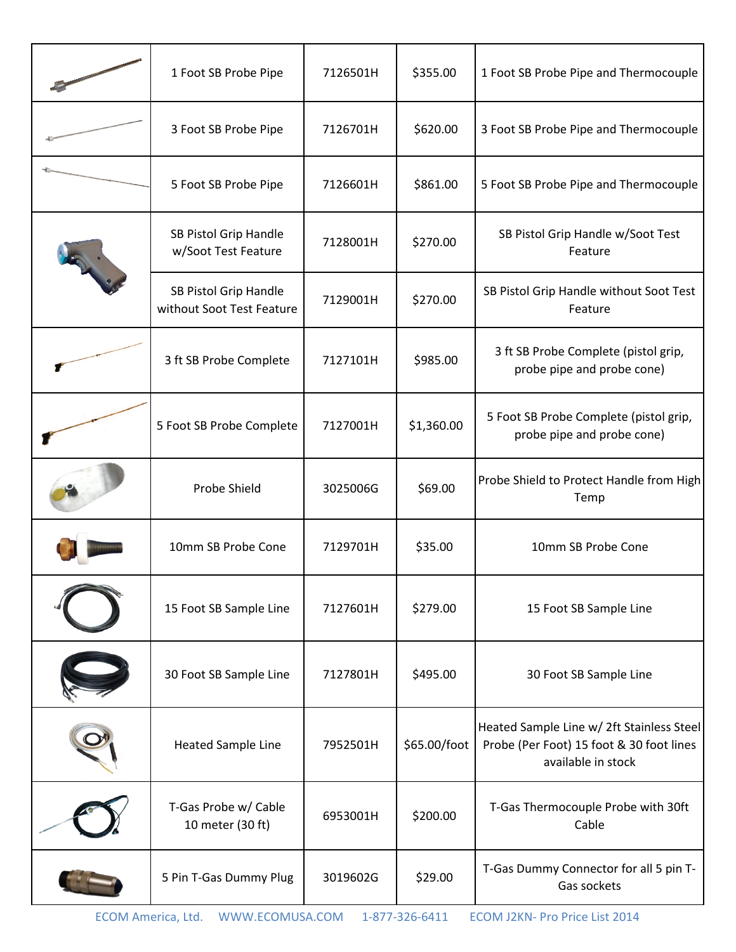| 1 Foot SB Probe Pipe                               | 7126501H | \$355.00     | 1 Foot SB Probe Pipe and Thermocouple                                                                       |
|----------------------------------------------------|----------|--------------|-------------------------------------------------------------------------------------------------------------|
| 3 Foot SB Probe Pipe                               | 7126701H | \$620.00     | 3 Foot SB Probe Pipe and Thermocouple                                                                       |
| 5 Foot SB Probe Pipe                               | 7126601H | \$861.00     | 5 Foot SB Probe Pipe and Thermocouple                                                                       |
| SB Pistol Grip Handle<br>w/Soot Test Feature       | 7128001H | \$270.00     | SB Pistol Grip Handle w/Soot Test<br>Feature                                                                |
| SB Pistol Grip Handle<br>without Soot Test Feature | 7129001H | \$270.00     | SB Pistol Grip Handle without Soot Test<br>Feature                                                          |
| 3 ft SB Probe Complete                             | 7127101H | \$985.00     | 3 ft SB Probe Complete (pistol grip,<br>probe pipe and probe cone)                                          |
| 5 Foot SB Probe Complete                           | 7127001H | \$1,360.00   | 5 Foot SB Probe Complete (pistol grip,<br>probe pipe and probe cone)                                        |
| Probe Shield                                       | 3025006G | \$69.00      | Probe Shield to Protect Handle from High<br>Temp                                                            |
| 10mm SB Probe Cone                                 | 7129701H | \$35.00      | 10mm SB Probe Cone                                                                                          |
| 15 Foot SB Sample Line                             | 7127601H | \$279.00     | 15 Foot SB Sample Line                                                                                      |
| 30 Foot SB Sample Line                             | 7127801H | \$495.00     | 30 Foot SB Sample Line                                                                                      |
| <b>Heated Sample Line</b>                          | 7952501H | \$65.00/foot | Heated Sample Line w/ 2ft Stainless Steel<br>Probe (Per Foot) 15 foot & 30 foot lines<br>available in stock |
| T-Gas Probe w/ Cable<br>10 meter (30 ft)           | 6953001H | \$200.00     | T-Gas Thermocouple Probe with 30ft<br>Cable                                                                 |
| 5 Pin T-Gas Dummy Plug                             | 3019602G | \$29.00      | T-Gas Dummy Connector for all 5 pin T-<br>Gas sockets                                                       |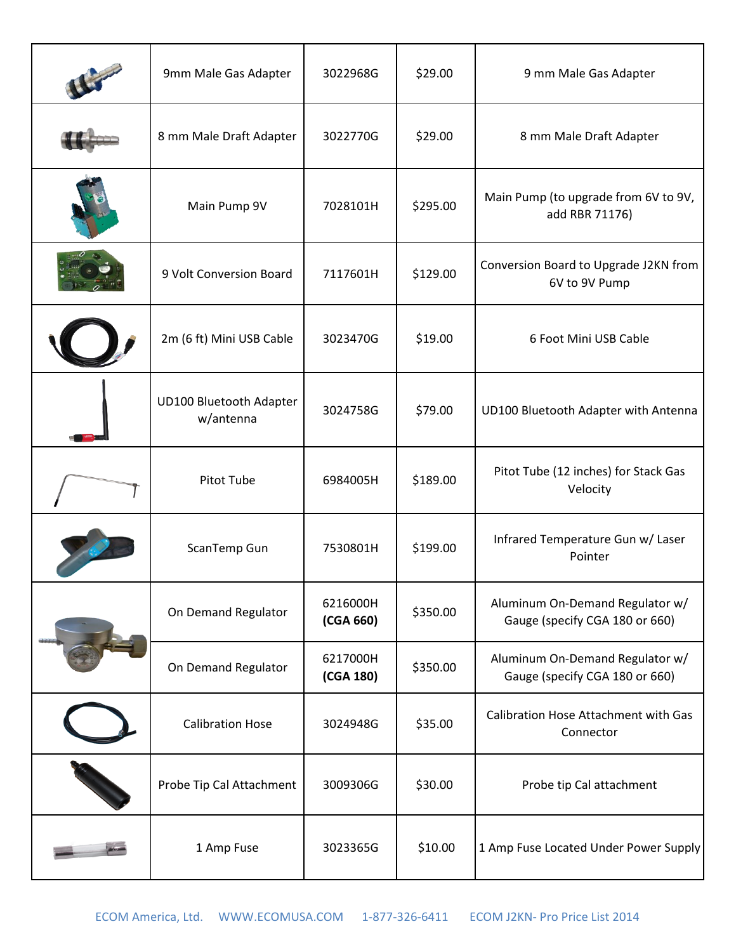| 9mm Male Gas Adapter                        | 3022968G              | \$29.00  | 9 mm Male Gas Adapter                                             |
|---------------------------------------------|-----------------------|----------|-------------------------------------------------------------------|
| 8 mm Male Draft Adapter                     | 3022770G              | \$29.00  | 8 mm Male Draft Adapter                                           |
| Main Pump 9V                                | 7028101H              | \$295.00 | Main Pump (to upgrade from 6V to 9V,<br>add RBR 71176)            |
| 9 Volt Conversion Board                     | 7117601H              | \$129.00 | Conversion Board to Upgrade J2KN from<br>6V to 9V Pump            |
| 2m (6 ft) Mini USB Cable                    | 3023470G              | \$19.00  | 6 Foot Mini USB Cable                                             |
| <b>UD100 Bluetooth Adapter</b><br>w/antenna | 3024758G              | \$79.00  | UD100 Bluetooth Adapter with Antenna                              |
| Pitot Tube                                  | 6984005H              | \$189.00 | Pitot Tube (12 inches) for Stack Gas<br>Velocity                  |
| ScanTemp Gun                                | 7530801H              | \$199.00 | Infrared Temperature Gun w/ Laser<br>Pointer                      |
| On Demand Regulator                         | 6216000H<br>(CGA 660) | \$350.00 | Aluminum On-Demand Regulator w/<br>Gauge (specify CGA 180 or 660) |
| On Demand Regulator                         | 6217000H<br>(CGA 180) | \$350.00 | Aluminum On-Demand Regulator w/<br>Gauge (specify CGA 180 or 660) |
| <b>Calibration Hose</b>                     | 3024948G              | \$35.00  | Calibration Hose Attachment with Gas<br>Connector                 |
| Probe Tip Cal Attachment                    | 3009306G              | \$30.00  | Probe tip Cal attachment                                          |
| 1 Amp Fuse                                  | 3023365G              | \$10.00  | 1 Amp Fuse Located Under Power Supply                             |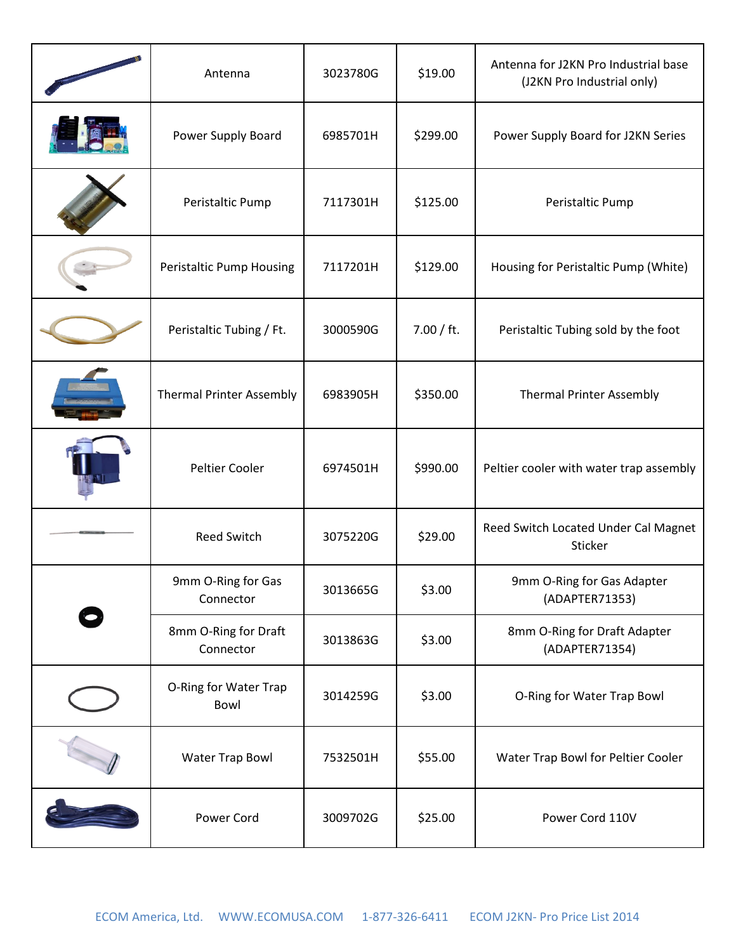| Antenna                           | 3023780G | \$19.00    | Antenna for J2KN Pro Industrial base<br>(J2KN Pro Industrial only) |
|-----------------------------------|----------|------------|--------------------------------------------------------------------|
| Power Supply Board                | 6985701H | \$299.00   | Power Supply Board for J2KN Series                                 |
| Peristaltic Pump                  | 7117301H | \$125.00   | Peristaltic Pump                                                   |
| Peristaltic Pump Housing          | 7117201H | \$129.00   | Housing for Peristaltic Pump (White)                               |
| Peristaltic Tubing / Ft.          | 3000590G | 7.00 / ft. | Peristaltic Tubing sold by the foot                                |
| <b>Thermal Printer Assembly</b>   | 6983905H | \$350.00   | <b>Thermal Printer Assembly</b>                                    |
| Peltier Cooler                    | 6974501H | \$990.00   | Peltier cooler with water trap assembly                            |
| Reed Switch                       | 3075220G | \$29.00    | Reed Switch Located Under Cal Magnet<br>Sticker                    |
| 9mm O-Ring for Gas<br>Connector   | 3013665G | \$3.00     | 9mm O-Ring for Gas Adapter<br>(ADAPTER71353)                       |
| 8mm O-Ring for Draft<br>Connector | 3013863G | \$3.00     | 8mm O-Ring for Draft Adapter<br>(ADAPTER71354)                     |
| O-Ring for Water Trap<br>Bowl     | 3014259G | \$3.00     | O-Ring for Water Trap Bowl                                         |
| <b>Water Trap Bowl</b>            | 7532501H | \$55.00    | Water Trap Bowl for Peltier Cooler                                 |
| Power Cord                        | 3009702G | \$25.00    | Power Cord 110V                                                    |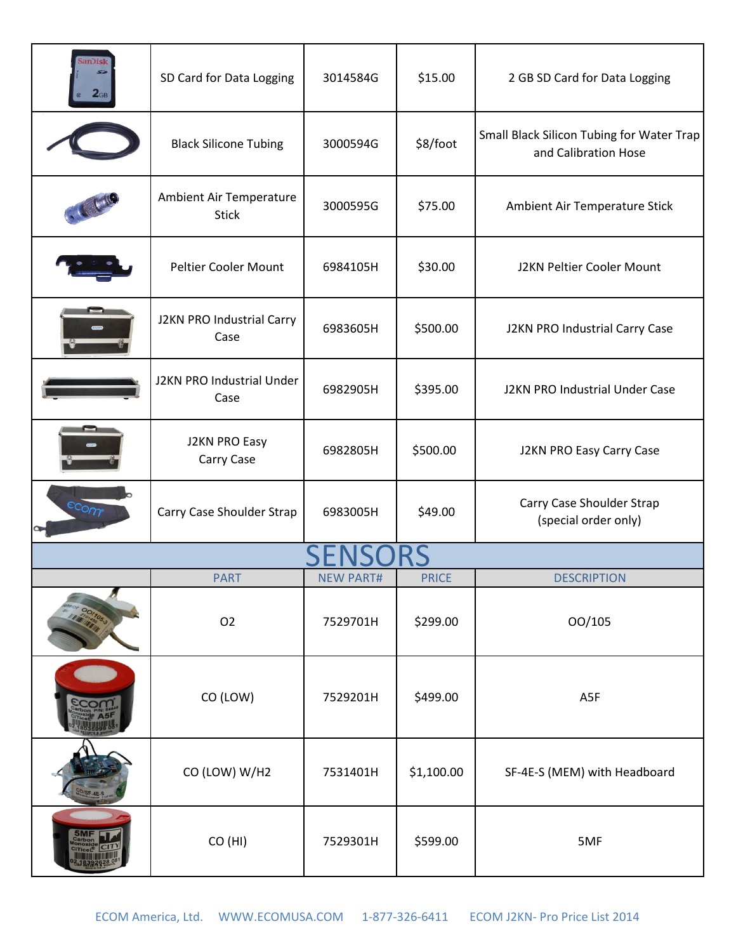| anDisk | SD Card for Data Logging                | 3014584G         | \$15.00      | 2 GB SD Card for Data Logging                                     |  |  |
|--------|-----------------------------------------|------------------|--------------|-------------------------------------------------------------------|--|--|
|        | <b>Black Silicone Tubing</b>            | 3000594G         | \$8/foot     | Small Black Silicon Tubing for Water Trap<br>and Calibration Hose |  |  |
|        | Ambient Air Temperature<br><b>Stick</b> | 3000595G         | \$75.00      | Ambient Air Temperature Stick                                     |  |  |
|        | Peltier Cooler Mount                    | 6984105H         | \$30.00      | J2KN Peltier Cooler Mount                                         |  |  |
|        | J2KN PRO Industrial Carry<br>Case       | 6983605H         | \$500.00     | J2KN PRO Industrial Carry Case                                    |  |  |
|        | J2KN PRO Industrial Under<br>Case       | 6982905H         | \$395.00     | J2KN PRO Industrial Under Case                                    |  |  |
|        | J2KN PRO Easy<br>Carry Case             | 6982805H         | \$500.00     | J2KN PRO Easy Carry Case                                          |  |  |
| econ   | Carry Case Shoulder Strap               | 6983005H         | \$49.00      | Carry Case Shoulder Strap<br>(special order only)                 |  |  |
|        |                                         |                  |              |                                                                   |  |  |
|        | <b>PART</b>                             | <b>NEW PART#</b> | <b>PRICE</b> | <b>DESCRIPTION</b>                                                |  |  |
|        | O <sub>2</sub>                          | 7529701H         | \$299.00     | 00/105                                                            |  |  |
|        | CO (LOW)                                | 7529201H         | \$499.00     | A5F                                                               |  |  |
|        | CO (LOW) W/H2                           | 7531401H         | \$1,100.00   | SF-4E-S (MEM) with Headboard                                      |  |  |
|        | CO (HI)                                 | 7529301H         | \$599.00     | 5MF                                                               |  |  |